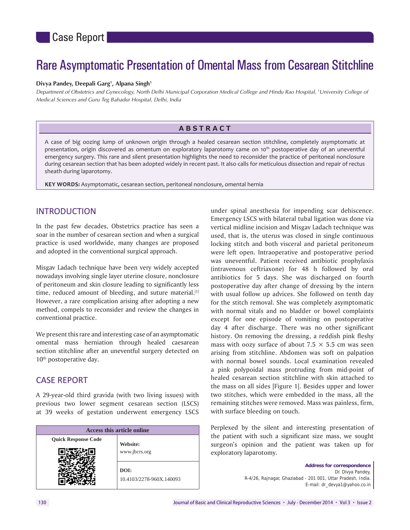# Rare Asymptomatic Presentation of Omental Mass from Cesarean Stitchline

#### Divya Pandey, Deepali Garg<sup>1</sup>, Alpana Singh<sup>1</sup>

*Department of Obstetrics and Gynecology, North Delhi Municipal Corporation Medical College and Hindu Rao Hospital, 1 University College of Medical Sciences and Guru Teg Bahadur Hospital, Delhi, India*

# **ABSTRACT**

A case of big oozing lump of unknown origin through a healed cesarean section stitchline, completely asymptomatic at presentation, origin discovered as omentum on exploratory laparotomy came on 10<sup>th</sup> postoperative day of an uneventful emergency surgery. This rare and silent presentation highlights the need to reconsider the practice of peritoneal nonclosure during cesarean section that has been adopted widely in recent past. It also calls for meticulous dissection and repair of rectus sheath during laparotomy.

**KEY WORDS:** Asymptomatic, cesarean section, peritoneal nonclosure, omental hernia

# INTRODUCTION

In the past few decades, Obstetrics practice has seen a soar in the number of cesarean section and when a surgical practice is used worldwide, many changes are proposed and adopted in the conventional surgical approach.

Misgav Ladach technique have been very widely accepted nowadays involving single layer uterine closure, nonclosure of peritoneum and skin closure leading to significantly less time, reduced amount of bleeding, and suture material.<sup>[1]</sup> However, a rare complication arising after adopting a new method, compels to reconsider and review the changes in conventional practice.

We present this rare and interesting case of an asymptomatic omental mass herniation through healed caesarean section stitchline after an uneventful surgery detected on 10<sup>th</sup> postoperative day.

## CASE REPORT

A 29-year-old third gravida (with two living issues) with previous two lower segment cesarean section (LSCS) at 39 weeks of gestation underwent emergency LSCS

| Access this article online |                                  |
|----------------------------|----------------------------------|
| <b>Quick Response Code</b> | Website:                         |
|                            | www.jbcrs.org                    |
|                            | DOI:<br>10.4103/2278-960X.140093 |

under spinal anesthesia for impending scar dehiscence. Emergency LSCS with bilateral tubal ligation was done via vertical midline incision and Misgav Ladach technique was used, that is, the uterus was closed in single continuous locking stitch and both visceral and parietal peritoneum were left open. Intraoperative and postoperative period was uneventful. Patient received antibiotic prophylaxis (intravenous ceftriaxone) for 48 h followed by oral antibiotics for 5 days. She was discharged on fourth postoperative day after change of dressing by the intern with usual follow up advices. She followed on tenth day for the stitch removal. She was completely asymptomatic with normal vitals and no bladder or bowel complaints except for one episode of vomiting on postoperative day 4 after discharge. There was no other significant history. On removing the dressing, a reddish pink fleshy mass with oozy surface of about  $7.5 \times 5.5$  cm was seen arising from stitchline. Abdomen was soft on palpation with normal bowel sounds. Local examination revealed a pink polypoidal mass protruding from mid-point of healed cesarean section stitchline with skin attached to the mass on all sides [Figure 1]. Besides upper and lower two stitches, which were embedded in the mass, all the remaining stitches were removed. Mass was painless, firm, with surface bleeding on touch.

Perplexed by the silent and interesting presentation of the patient with such a significant size mass, we sought surgeon's opinion and the patient was taken up for exploratory laparotomy.

> **Address for correspondence**  Dr. Divya Pandey, R‑4/26, Rajnagar, Ghaziabad ‑ 201 001, Uttar Pradesh, India. E‑mail: dr\_devya1@yahoo.co.in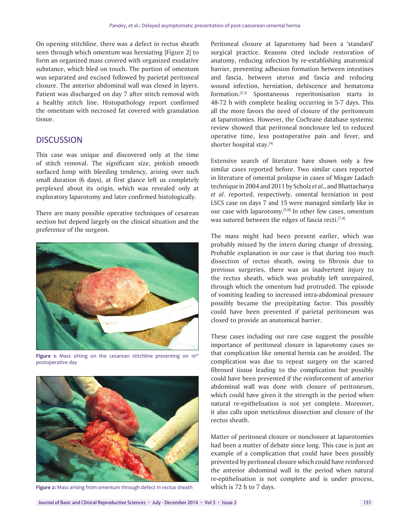On opening stitchline, there was a defect in rectus sheath seen through which omentum was herniating [Figure 2] to form an organized mass covered with organized exudative substance, which bled on touch. The portion of omentum was separated and excised followed by parietal peritoneal closure. The anterior abdominal wall was closed in layers. Patient was discharged on day 7 after stitch removal with a healthy stitch line. Histopathology report confirmed the omentum with necrosed fat covered with granulation tissue.

### **DISCUSSION**

This case was unique and discovered only at the time of stitch removal. The significant size, pinkish smooth surfaced lump with bleeding tendency, arising over such small duration (6 days), at first glance left us completely perplexed about its origin, which was revealed only at exploratory laparotomy and later confirmed histologically.

There are many possible operative techniques of cesarean section but depend largely on the clinical situation and the preference of the surgeon.



Figure 1: Mass sitting on the cesarean stitchline presenting on 10<sup>th</sup> postoperative day



**Figure 2:** Mass arising from omentum through defect in rectus sheath

Peritoneal closure at laparotomy had been a 'standard' surgical practice. Reasons cited include restoration of anatomy, reducing infection by re-establishing anatomical barrier, preventing adhesion formation between intestines and fascia, between uterus and fascia and reducing wound infection, herniation, dehiscence and hematoma formation.[2,3] Spontaneous reperitonisation starts in 48-72 h with complete healing occurring in 5-7 days. This all the more favors the need of closure of the peritoneum at laparotomies. However, the Cochrane database systemic review showed that peritoneal nonclosure led to reduced operative time, less postoperative pain and fever, and shorter hospital stay.[4]

Extensive search of literature have shown only a few similar cases reported before. Two similar cases reported in literature of omental prolapse in cases of Misgav Ladach technique in 2004 and 2011 by Scholz *et al*., and Bhattacharya *et al*. reported, respectively, omental herniation in post LSCS case on days 7 and 15 were managed similarly like in our case with laparotomy.[5,6**]** In other few cases, omentum was sutured between the edges of fascia recti.<sup>[7,8]</sup>

The mass might had been present earlier, which was probably missed by the intern during change of dressing. Probable explanation in our case is that during too much dissection of rectus sheath, owing to fibrosis due to previous surgeries, there was an inadvertent injury to the rectus sheath, which was probably left unrepaired, through which the omentum had protruded. The episode of vomiting leading to increased intra-abdominal pressure possibly became the precipitating factor. This possibly could have been prevented if parietal peritoneum was closed to provide an anatomical barrier.

These cases including our rare case suggest the possible importance of peritoneal closure in laparotomy cases so that complication like omental hernia can be avoided. The complication was due to repeat surgery on the scarred fibrosed tissue leading to the complication but possibly could have been prevented if the reinforcement of anterior abdominal wall was done with closure of peritoneum, which could have given it the strength in the period when natural re-epithelisation is not yet complete. Moreover, it also calls upon meticulous dissection and closure of the rectus sheath.

Matter of peritoneal closure or nonclosure at laparotomies had been a matter of debate since long. This case is just an example of a complication that could have been possibly prevented by peritoneal closure which could have reinforced the anterior abdominal wall in the period when natural re-epithelisation is not complete and is under process, which is 72 h to 7 days.